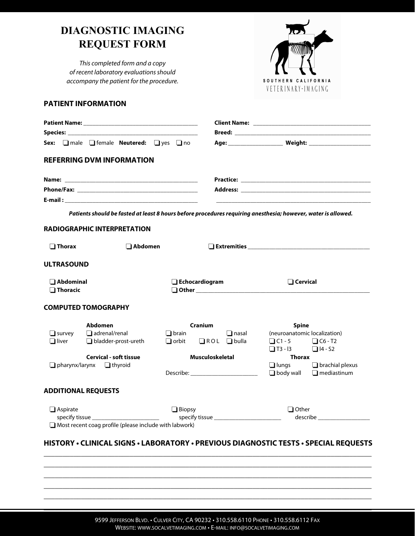## **DIAGNOSTIC IMAGING REQUEST FORM**

This completed form and a copy of recent laboratory evaluations should accompany the patient for the procedure.



## **PATIENT INFORMATION**

|                                      | Sex: <b>I</b> male <b>I</b> female <b>Neutered:</b> I yes I no |                                                                                                               |                                                  |  |
|--------------------------------------|----------------------------------------------------------------|---------------------------------------------------------------------------------------------------------------|--------------------------------------------------|--|
|                                      | <b>REFERRING DVM INFORMATION</b>                               |                                                                                                               |                                                  |  |
|                                      |                                                                |                                                                                                               |                                                  |  |
|                                      |                                                                |                                                                                                               |                                                  |  |
|                                      |                                                                |                                                                                                               |                                                  |  |
|                                      |                                                                | Patients should be fasted at least 8 hours before procedures requiring anesthesia; however, water is allowed. |                                                  |  |
|                                      | <b>RADIOGRAPHIC INTERPRETATION</b>                             |                                                                                                               |                                                  |  |
|                                      |                                                                |                                                                                                               |                                                  |  |
| $\Box$ Thorax                        | $\square$ Abdomen                                              |                                                                                                               |                                                  |  |
|                                      |                                                                |                                                                                                               |                                                  |  |
| <b>ULTRASOUND</b>                    |                                                                |                                                                                                               |                                                  |  |
| $\Box$ Abdominal                     |                                                                | $\Box$ Echocardiogram                                                                                         | $\Box$ Cervical                                  |  |
| $\Box$ Thoracic                      |                                                                |                                                                                                               |                                                  |  |
|                                      |                                                                |                                                                                                               |                                                  |  |
|                                      | <b>COMPUTED TOMOGRAPHY</b>                                     |                                                                                                               |                                                  |  |
|                                      | Abdomen                                                        | <b>Cranium</b>                                                                                                | <b>Spine</b>                                     |  |
| $\Box$ survey                        | $\Box$ adrenal/renal                                           | $\Box$ brain<br>$\Box$ nasal                                                                                  | (neuroanatomic localization)                     |  |
| $\Box$ liver                         | $\Box$ bladder-prost-ureth                                     | $\Box$ orbit<br>$\Box$ ROL $\Box$ bulla                                                                       | $\Box$ C1-5 $\Box$ C6-T2                         |  |
|                                      |                                                                |                                                                                                               | $\Box$ T3 - I3 $\Box$ I4 - S2                    |  |
|                                      | <b>Cervical - soft tissue</b>                                  | <b>Musculoskeletal</b>                                                                                        | Thorax<br>$\Box$ lungs<br>$\Box$ brachial plexus |  |
| $\Box$ pharynx/larynx $\Box$ thyroid |                                                                | Describe: ___________________________                                                                         | $\Box$ body wall<br>$\Box$ mediastinum           |  |
|                                      |                                                                |                                                                                                               |                                                  |  |
|                                      | <b>ADDITIONAL REQUESTS</b>                                     |                                                                                                               |                                                  |  |
|                                      |                                                                |                                                                                                               |                                                  |  |
|                                      |                                                                |                                                                                                               |                                                  |  |
| $\Box$ Aspirate                      |                                                                | $\Box$ Biopsy                                                                                                 | $\Box$ Other<br>describe <b>contracts</b>        |  |

## **HISTORY • CLINICAL SIGNS • LABORATORY • PREVIOUS DIAGNOSTIC TESTS • SPECIAL REQUESTS**  \_\_\_\_\_\_\_\_\_\_\_\_\_\_\_\_\_\_\_\_\_\_\_\_\_\_\_\_\_\_\_\_\_\_\_\_\_\_\_\_\_\_\_\_\_\_\_\_\_\_\_\_\_\_\_\_\_\_\_\_\_\_\_\_\_\_\_\_\_\_\_\_\_\_\_\_\_\_\_\_\_\_\_\_\_\_\_\_

\_\_\_\_\_\_\_\_\_\_\_\_\_\_\_\_\_\_\_\_\_\_\_\_\_\_\_\_\_\_\_\_\_\_\_\_\_\_\_\_\_\_\_\_\_\_\_\_\_\_\_\_\_\_\_\_\_\_\_\_\_\_\_\_\_\_\_\_\_\_\_\_\_\_\_\_\_\_\_\_\_\_\_\_\_\_\_\_ \_\_\_\_\_\_\_\_\_\_\_\_\_\_\_\_\_\_\_\_\_\_\_\_\_\_\_\_\_\_\_\_\_\_\_\_\_\_\_\_\_\_\_\_\_\_\_\_\_\_\_\_\_\_\_\_\_\_\_\_\_\_\_\_\_\_\_\_\_\_\_\_\_\_\_\_\_\_\_\_\_\_\_\_\_\_\_\_ \_\_\_\_\_\_\_\_\_\_\_\_\_\_\_\_\_\_\_\_\_\_\_\_\_\_\_\_\_\_\_\_\_\_\_\_\_\_\_\_\_\_\_\_\_\_\_\_\_\_\_\_\_\_\_\_\_\_\_\_\_\_\_\_\_\_\_\_\_\_\_\_\_\_\_\_\_\_\_\_\_\_\_\_\_\_\_\_ \_\_\_\_\_\_\_\_\_\_\_\_\_\_\_\_\_\_\_\_\_\_\_\_\_\_\_\_\_\_\_\_\_\_\_\_\_\_\_\_\_\_\_\_\_\_\_\_\_\_\_\_\_\_\_\_\_\_\_\_\_\_\_\_\_\_\_\_\_\_\_\_\_\_\_\_\_\_\_\_\_\_\_\_\_\_\_\_  $\mathcal{L}_\mathcal{L} = \mathcal{L}_\mathcal{L} = \mathcal{L}_\mathcal{L} = \mathcal{L}_\mathcal{L} = \mathcal{L}_\mathcal{L} = \mathcal{L}_\mathcal{L} = \mathcal{L}_\mathcal{L} = \mathcal{L}_\mathcal{L} = \mathcal{L}_\mathcal{L} = \mathcal{L}_\mathcal{L} = \mathcal{L}_\mathcal{L} = \mathcal{L}_\mathcal{L} = \mathcal{L}_\mathcal{L} = \mathcal{L}_\mathcal{L} = \mathcal{L}_\mathcal{L} = \mathcal{L}_\mathcal{L} = \mathcal{L}_\mathcal{L}$